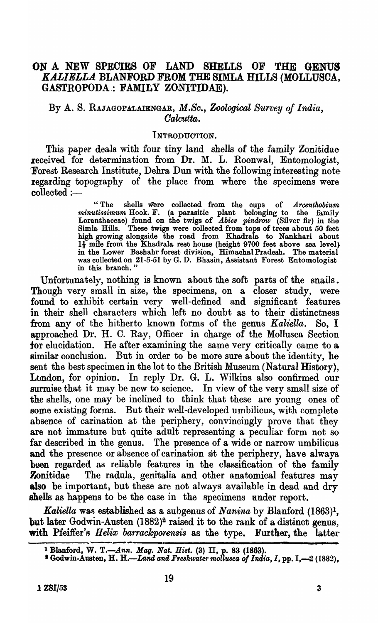# ON A NEW SPEOIES OF LAND SHELLS OF THE GENUS *KALIELLA.* BLANFORD FROM THE SIMLA HILLS (MOLLUSOA, GASTROPODA.: FAMILY ZONITIDAE).

## By A. S. RAJAGOPALAIENGAR, *M.So., Zoological Survey of India, Oalcutta.*

#### INTRODUCTION.

This paper deals with four tiny land shells of the family Zonitidae received for determination from Dr. M. L. RoonwaI, Entomologist, Forest Research Institute, Dehra Dun with the following interesting note regarding topography of the place from where the specimens were  $\text{collected}:=$ 

> "The shells were collected from the cups of *Arcenthobium*  minutissimum Hook. F. (a parasitic plant belonging to the family Loranthaceae) found on the twigs of *Abiea pindrow* (Silver fir) in the Simla Hills. These twigs were collected from tops of trees about 50 feet high growing alongside the road from Khadrala to Nankhari about  $1\frac{1}{2}$  mile from the Khadrala rest house (height 9700 feet above sea level) in the Lower Bashahr forest division, Himachal Pradesh. The material was collected on 21-5-51 by G. D. Bhasin, Assistant Forest Entomologist in this branch. "

Unfortunately, nothing is known about the soft parts of the snails. Though very small in size, the specimens, on a closer study, were found to exhibit certain very well-defined and significant features in their shell characters which left no doubt as to their distinctness from any of the hitherto known forms of the genus *Kaliella.* So, I approached Dr. H. C. Ray, Officer in charge of the Mollusca Section for elucidation. He after examining the same very critically came to & similar conclusion. But in order to be more sure about the identity, he sent the best specimen in the lot to the British Museum (Natural History), Ltndon, for opinion. In reply Dr. G. L. Wilkins also confirmed our surmise that it may be new to science. In view of the very small size of the shells, one may be inclined to think that these are young ones of some existing forms. But their well-developed umbilicus, with complete absence of carination at the periphery, convincingly prove that they are not immature but quite adult representing a peculiar form not so far described in the genus. The presence of a wide or narrow umbilicus and the presence or absence of carination ait the periphery, have always but regarded as reliable features in the classification of the family Zonitidae The radula, genitalia and other anatomical features may also be important, but these are not always available in dead and dry shells as happens to be the case in the specimens under report.

*Kaliella* was established as a subgenus of *Nanina* by Blanford (1863)<sup>1</sup>, but later Godwin-Austen  $(1882)^2$  raised it to the rank of a distinct genus, with Pfeiffer's *Helix barrackporensis* as the type. Further, the latter

<sup>&</sup>lt;sup>1</sup> Blanford, W. T.—Ann. Mag. Nat. Hist. (3) II, p. 83 (1863).

<sup>&</sup>lt;sup>2</sup> Godwin-Austen, H. H.—Land and Freshwater mollusca of India, I, pp. I,—2 (1882),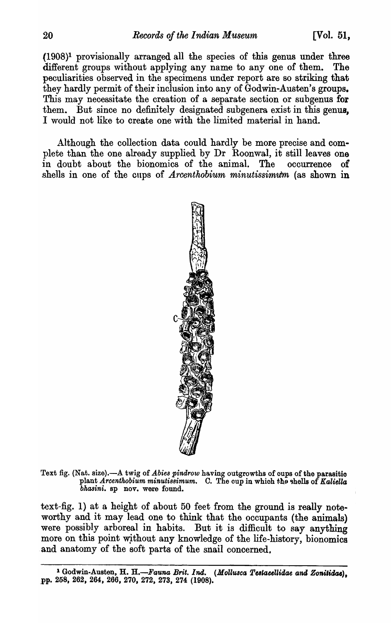(1908)1 provisionally arranged all the species of this genus under three different groups without applying any name to any one of them. The peculiarities observed in the specimens under report are so striking that they hardly permit of their inclusion into any of Godwin-Austen's groups. This may necessitate the creation of a separate section or subgenus for them. But since no definitely designated subgenera exist in this genus, I would not like to create one with the limited material in hand.

Although the collection data could hardly be more precise and complete than the one already supplied by Dr Roonwal, it still leaves one in doubt about the bionomics of the animal. The occurrence of shells in one of the cups of *Arcenthobium minutissimum* (as shown in



Text fig. (Nat. size).-A twig of *Abies pindrow* having outgrowths of oups of the parasitio plant *Arcenthobium minutissimum.* C. The cup in which the shells of Kaliella *bhasini.* sp nov. were found.

text-fig. 1) at a height of about 50 feet from the ground is really noteworthy and it may lead one to think that the occupants (the animals) were possibly arboreal in habits. But it is difficult to say anything more on this point wjthout any knowledge of the life-history, bionomics and anatomy of the soft parts of the snail concerned.

<sup>&</sup>lt;sup>1</sup> Godwin-Austen, H. H.-Fauna Brit. Ind. (Mollusca Testacellidae and Zonitidae), pp. 258, 262, 264, 266, 270, 272, 273, 274 (1908).